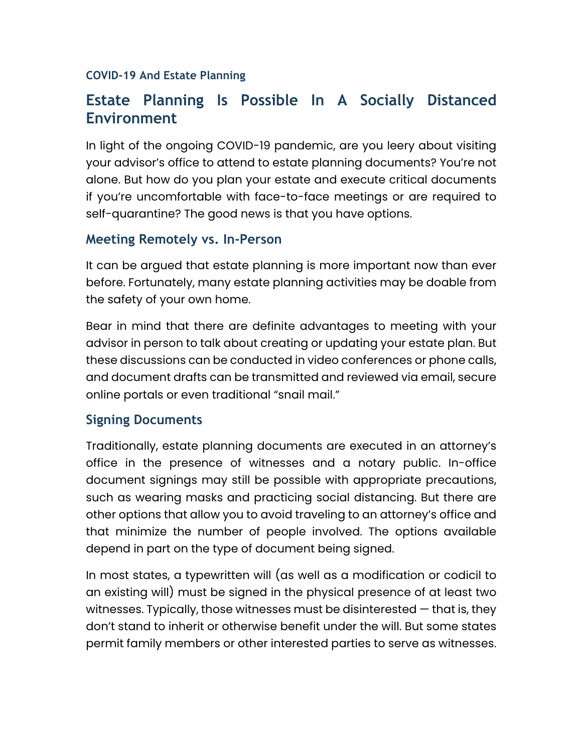#### **COVID-19 And Estate Planning**

# **Estate Planning Is Possible In A Socially Distanced Environment**

In light of the ongoing COVID-19 pandemic, are you leery about visiting your advisor's office to attend to estate planning documents? You're not alone. But how do you plan your estate and execute critical documents if you're uncomfortable with face-to-face meetings or are required to self-quarantine? The good news is that you have options.

### **Meeting Remotely vs. In-Person**

It can be argued that estate planning is more important now than ever before. Fortunately, many estate planning activities may be doable from the safety of your own home.

Bear in mind that there are definite advantages to meeting with your advisor in person to talk about creating or updating your estate plan. But these discussions can be conducted in video conferences or phone calls, and document drafts can be transmitted and reviewed via email, secure online portals or even traditional "snail mail."

### **Signing Documents**

Traditionally, estate planning documents are executed in an attorney's office in the presence of witnesses and a notary public. In-office document signings may still be possible with appropriate precautions, such as wearing masks and practicing social distancing. But there are other options that allow you to avoid traveling to an attorney's office and that minimize the number of people involved. The options available depend in part on the type of document being signed.

In most states, a typewritten will (as well as a modification or codicil to an existing will) must be signed in the physical presence of at least two witnesses. Typically, those witnesses must be disinterested — that is, they don't stand to inherit or otherwise benefit under the will. But some states permit family members or other interested parties to serve as witnesses.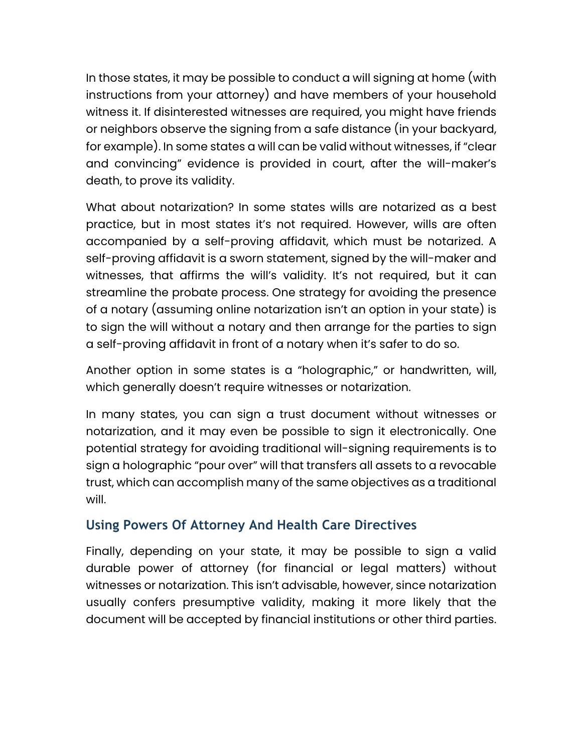In those states, it may be possible to conduct a will signing at home (with instructions from your attorney) and have members of your household witness it. If disinterested witnesses are required, you might have friends or neighbors observe the signing from a safe distance (in your backyard, for example). In some states a will can be valid without witnesses, if "clear and convincing" evidence is provided in court, after the will-maker's death, to prove its validity.

What about notarization? In some states wills are notarized as a best practice, but in most states it's not required. However, wills are often accompanied by a self-proving affidavit, which must be notarized. A self-proving affidavit is a sworn statement, signed by the will-maker and witnesses, that affirms the will's validity. It's not required, but it can streamline the probate process. One strategy for avoiding the presence of a notary (assuming online notarization isn't an option in your state) is to sign the will without a notary and then arrange for the parties to sign a self-proving affidavit in front of a notary when it's safer to do so.

Another option in some states is a "holographic," or handwritten, will, which generally doesn't require witnesses or notarization.

In many states, you can sign a trust document without witnesses or notarization, and it may even be possible to sign it electronically. One potential strategy for avoiding traditional will-signing requirements is to sign a holographic "pour over" will that transfers all assets to a revocable trust, which can accomplish many of the same objectives as a traditional will.

# **Using Powers Of Attorney And Health Care Directives**

Finally, depending on your state, it may be possible to sign a valid durable power of attorney (for financial or legal matters) without witnesses or notarization. This isn't advisable, however, since notarization usually confers presumptive validity, making it more likely that the document will be accepted by financial institutions or other third parties.